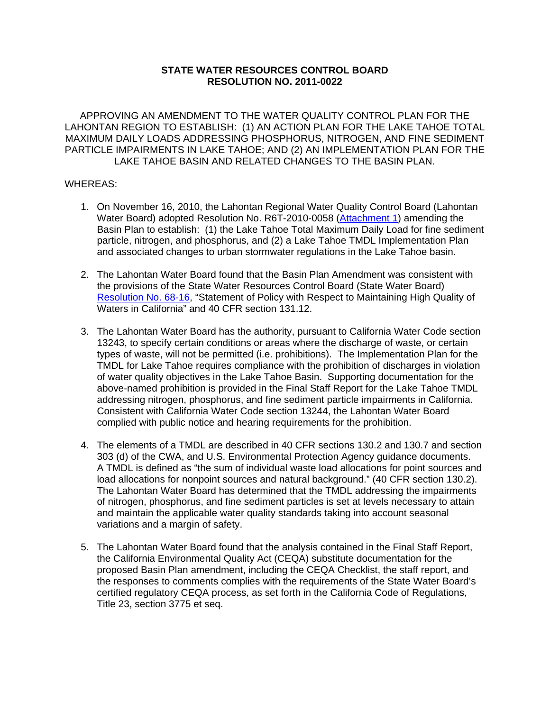## **STATE WATER RESOURCES CONTROL BOARD RESOLUTION NO. 2011-0022**

APPROVING AN AMENDMENT TO THE WATER QUALITY CONTROL PLAN FOR THE LAHONTAN REGION TO ESTABLISH: (1) AN ACTION PLAN FOR THE LAKE TAHOE TOTAL MAXIMUM DAILY LOADS ADDRESSING PHOSPHORUS, NITROGEN, AND FINE SEDIMENT PARTICLE IMPAIRMENTS IN LAKE TAHOE; AND (2) AN IMPLEMENTATION PLAN FOR THE LAKE TAHOE BASIN AND RELATED CHANGES TO THE BASIN PLAN.

## WHEREAS:

- 1. On November 16, 2010, the Lahontan Regional Water Quality Control Board (Lahontan Water Board) adopted Resolution No. R6T-2010-0058 [\(Attachment 1](http://www.waterboards.ca.gov/board_info/agendas/2011/apr/041911_7att1.pdf)) amending the Basin Plan to establish: (1) the Lake Tahoe Total Maximum Daily Load for fine sediment particle, nitrogen, and phosphorus, and (2) a Lake Tahoe TMDL Implementation Plan and associated changes to urban stormwater regulations in the Lake Tahoe basin.
- 2. The Lahontan Water Board found that the Basin Plan Amendment was consistent with the provisions of the State Water Resources Control Board (State Water Board) [Resolution No. 68-16](http://www.waterboards.ca.gov/board_decisions/adopted_orders/resolutions/1968/rs68_016.pdf), "Statement of Policy with Respect to Maintaining High Quality of Waters in California" and 40 CFR section 131.12.
- 3. The Lahontan Water Board has the authority, pursuant to California Water Code section 13243, to specify certain conditions or areas where the discharge of waste, or certain types of waste, will not be permitted (i.e. prohibitions). The Implementation Plan for the TMDL for Lake Tahoe requires compliance with the prohibition of discharges in violation of water quality objectives in the Lake Tahoe Basin. Supporting documentation for the above-named prohibition is provided in the Final Staff Report for the Lake Tahoe TMDL addressing nitrogen, phosphorus, and fine sediment particle impairments in California. Consistent with California Water Code section 13244, the Lahontan Water Board complied with public notice and hearing requirements for the prohibition.
- 4. The elements of a TMDL are described in 40 CFR sections 130.2 and 130.7 and section 303 (d) of the CWA, and U.S. Environmental Protection Agency guidance documents. A TMDL is defined as "the sum of individual waste load allocations for point sources and load allocations for nonpoint sources and natural background." (40 CFR section 130.2). The Lahontan Water Board has determined that the TMDL addressing the impairments of nitrogen, phosphorus, and fine sediment particles is set at levels necessary to attain and maintain the applicable water quality standards taking into account seasonal variations and a margin of safety.
- 5. The Lahontan Water Board found that the analysis contained in the Final Staff Report, the California Environmental Quality Act (CEQA) substitute documentation for the proposed Basin Plan amendment, including the CEQA Checklist, the staff report, and the responses to comments complies with the requirements of the State Water Board's certified regulatory CEQA process, as set forth in the California Code of Regulations, Title 23, section 3775 et seq.